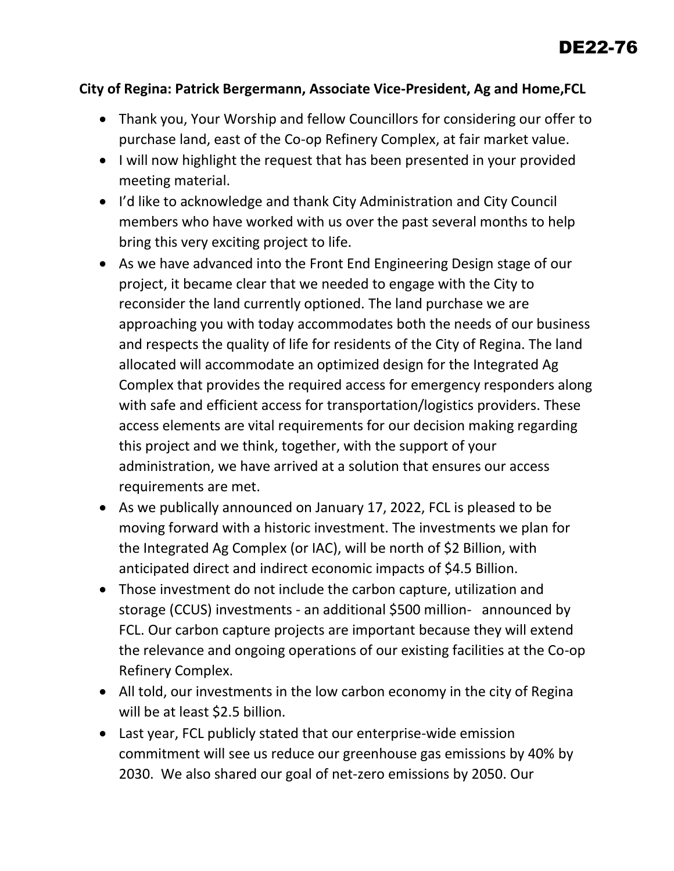## **City of Regina: Patrick Bergermann, Associate Vice-President, Ag and Home,FCL**

- Thank you, Your Worship and fellow Councillors for considering our offer to purchase land, east of the Co-op Refinery Complex, at fair market value.
- I will now highlight the request that has been presented in your provided meeting material.
- I'd like to acknowledge and thank City Administration and City Council members who have worked with us over the past several months to help bring this very exciting project to life.
- As we have advanced into the Front End Engineering Design stage of our project, it became clear that we needed to engage with the City to reconsider the land currently optioned. The land purchase we are approaching you with today accommodates both the needs of our business and respects the quality of life for residents of the City of Regina. The land allocated will accommodate an optimized design for the Integrated Ag Complex that provides the required access for emergency responders along with safe and efficient access for transportation/logistics providers. These access elements are vital requirements for our decision making regarding this project and we think, together, with the support of your administration, we have arrived at a solution that ensures our access requirements are met.
- As we publically announced on January 17, 2022, FCL is pleased to be moving forward with a historic investment. The investments we plan for the Integrated Ag Complex (or IAC), will be north of \$2 Billion, with anticipated direct and indirect economic impacts of \$4.5 Billion.
- Those investment do not include the carbon capture, utilization and storage (CCUS) investments - an additional \$500 million- announced by FCL. Our carbon capture projects are important because they will extend the relevance and ongoing operations of our existing facilities at the Co-op Refinery Complex.
- All told, our investments in the low carbon economy in the city of Regina will be at least \$2.5 billion.
- Last year, FCL publicly stated that our enterprise-wide emission commitment will see us reduce our greenhouse gas emissions by 40% by 2030. We also shared our goal of net-zero emissions by 2050. Our